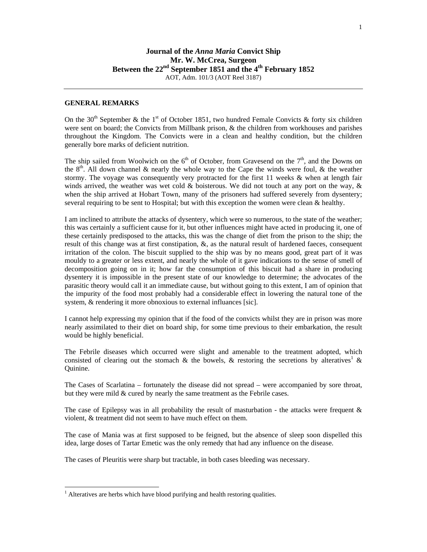## **GENERAL REMARKS**

On the 30<sup>th</sup> September & the 1<sup>st</sup> of October 1851, two hundred Female Convicts & forty six children were sent on board; the Convicts from Millbank prison, & the children from workhouses and parishes throughout the Kingdom. The Convicts were in a clean and healthy condition, but the children generally bore marks of deficient nutrition.

The ship sailed from Woolwich on the  $6<sup>th</sup>$  of October, from Gravesend on the  $7<sup>th</sup>$ , and the Downs on the  $8<sup>th</sup>$ . All down channel & nearly the whole way to the Cape the winds were foul, & the weather stormy. The voyage was consequently very protracted for the first 11 weeks & when at length fair winds arrived, the weather was wet cold & boisterous. We did not touch at any port on the way, & when the ship arrived at Hobart Town, many of the prisoners had suffered severely from dysentery; several requiring to be sent to Hospital; but with this exception the women were clean & healthy.

I am inclined to attribute the attacks of dysentery, which were so numerous, to the state of the weather; this was certainly a sufficient cause for it, but other influences might have acted in producing it, one of these certainly predisposed to the attacks, this was the change of diet from the prison to the ship; the result of this change was at first constipation, &, as the natural result of hardened faeces, consequent irritation of the colon. The biscuit supplied to the ship was by no means good, great part of it was mouldy to a greater or less extent, and nearly the whole of it gave indications to the sense of smell of decomposition going on in it; how far the consumption of this biscuit had a share in producing dysentery it is impossible in the present state of our knowledge to determine; the advocates of the parasitic theory would call it an immediate cause, but without going to this extent, I am of opinion that the impurity of the food most probably had a considerable effect in lowering the natural tone of the system, & rendering it more obnoxious to external influances [sic].

I cannot help expressing my opinion that if the food of the convicts whilst they are in prison was more nearly assimilated to their diet on board ship, for some time previous to their embarkation, the result would be highly beneficial.

The Febrile diseases which occurred were slight and amenable to the treatment adopted, which consisted of clearing out the stomach & the bowels, & restoring the secretions by alteratives<sup>1</sup> & Quinine.

The Cases of Scarlatina – fortunately the disease did not spread – were accompanied by sore throat, but they were mild & cured by nearly the same treatment as the Febrile cases.

The case of Epilepsy was in all probability the result of masturbation - the attacks were frequent  $\&$ violent, & treatment did not seem to have much effect on them.

The case of Mania was at first supposed to be feigned, but the absence of sleep soon dispelled this idea, large doses of Tartar Emetic was the only remedy that had any influence on the disease.

The cases of Pleuritis were sharp but tractable, in both cases bleeding was necessary.

l

 $<sup>1</sup>$  Alteratives are herbs which have blood purifying and health restoring qualities.</sup>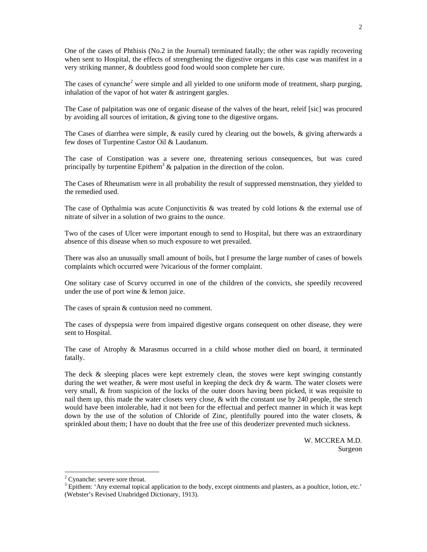One of the cases of Phthisis (No.2 in the Journal) terminated fatally; the other was rapidly recovering when sent to Hospital, the effects of strengthening the digestive organs in this case was manifest in a very striking manner, & doubtless good food would soon complete her cure.

The cases of cynanche<sup>2</sup> were simple and all yielded to one uniform mode of treatment, sharp purging, inhalation of the vapor of hot water & astringent gargles.

The Case of palpitation was one of organic disease of the valves of the heart, releif [sic] was procured by avoiding all sources of irritation, & giving tone to the digestive organs.

The Cases of diarrhea were simple, & easily cured by clearing out the bowels, & giving afterwards a few doses of Turpentine Castor Oil & Laudanum.

The case of Constipation was a severe one, threatening serious consequences, but was cured principally by turpentine Epithem<sup>3</sup>  $\&$  palpation in the direction of the colon.

The Cases of Rheumatism were in all probability the result of suppressed menstruation, they yielded to the remedied used.

The case of Opthalmia was acute Conjunctivitis  $\&$  was treated by cold lotions  $\&$  the external use of nitrate of silver in a solution of two grains to the ounce.

Two of the cases of Ulcer were important enough to send to Hospital, but there was an extraordinary absence of this disease when so much exposure to wet prevailed.

There was also an unusually small amount of boils, but I presume the large number of cases of bowels complaints which occurred were ?vicarious of the former complaint.

One solitary case of Scurvy occurred in one of the children of the convicts, she speedily recovered under the use of port wine & lemon juice.

The cases of sprain & contusion need no comment.

The cases of dyspepsia were from impaired digestive organs consequent on other disease, they were sent to Hospital.

The case of Atrophy & Marasmus occurred in a child whose mother died on board, it terminated fatally.

The deck  $\&$  sleeping places were kept extremely clean, the stoves were kept swinging constantly during the wet weather, & were most useful in keeping the deck dry & warm. The water closets were very small, & from suspicion of the locks of the outer doors having been picked, it was requisite to nail them up, this made the water closets very close, & with the constant use by 240 people, the stench would have been intolerable, had it not been for the effectual and perfect manner in which it was kept down by the use of the solution of Chloride of Zinc, plentifully poured into the water closets, & sprinkled about them; I have no doubt that the free use of this deoderizer prevented much sickness.

> W. MCCREA M.D. Surgeon

 $\overline{a}$ 

<sup>&</sup>lt;sup>2</sup> Cynanche: severe sore throat.

 $3$  Epithem: 'Any external topical application to the body, except ointments and plasters, as a poultice, lotion, etc.' (Webster's Revised Unabridged Dictionary, 1913).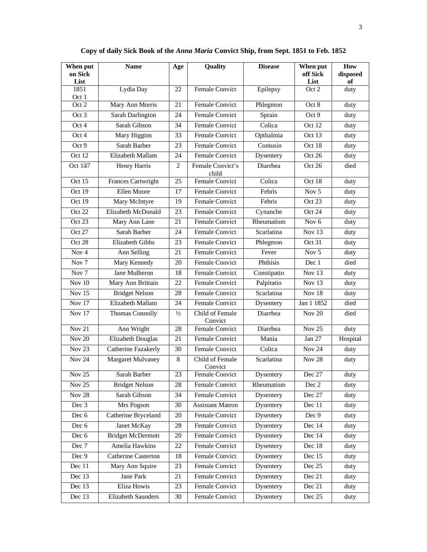| When put<br>on Sick<br>List | <b>Name</b>                | Age           | Quality                    | <b>Disease</b> | When put<br>off Sick<br>List | How<br>disposed<br>of |
|-----------------------------|----------------------------|---------------|----------------------------|----------------|------------------------------|-----------------------|
| 1851<br>Oct 1               | Lydia Day                  | 22            | Female Convict             | Epilepsy       | Oct 2                        | duty                  |
| Oct 2                       | Mary Ann Morris            | 21            | <b>Female Convict</b>      | Phlegmon       | Oct 8                        | duty                  |
| Oct 3                       | Sarah Darlington           | 24            | <b>Female Convict</b>      | Sprain         | Oct 9                        | duty                  |
| Oct 4                       | Sarah Gibson               | 34            | Female Convict             | Colica         | Oct 12                       | duty                  |
| Oct 4                       | Mary Higgins               | 33            | <b>Female Convict</b>      | Opthalmia      | Oct 13                       | duty                  |
| Oct <sub>9</sub>            | Sarah Barber               | 23            | <b>Female Convict</b>      | Contusio       | Oct 18                       | duty                  |
| Oct 12                      | Elizabeth Mallam           | 24            | <b>Female Convict</b>      | Dysentery      | Oct 26                       | duty                  |
| Oct 137                     | Henry Harris               | 2             | Female Convict's<br>child  | Diarrhea       | Oct 26                       | died                  |
| Oct 15                      | Frances Cartwright         | 25            | <b>Female Convict</b>      | Colica         | Oct 18                       | duty                  |
| Oct 19                      | Ellen Moore                | 17            | <b>Female Convict</b>      | Febris         | Nov 5                        | duty                  |
| Oct 19                      | Mary McIntyre              | 19            | <b>Female Convict</b>      | Febris         | Oct 23                       | duty                  |
| Oct 22                      | Elizabeth McDonald         | 23            | Female Convict             | Cynanche       | Oct 24                       | duty                  |
| Oct $23$                    | Mary Ann Lane              | 21            | <b>Female Convict</b>      | Rheumatism     | Nov <sub>6</sub>             | duty                  |
| Oct 27                      | Sarah Barber               | 24            | <b>Female Convict</b>      | Scarlatina     | Nov 13                       | duty                  |
| Oct 28                      | <b>Elizabeth Gibbs</b>     | 23            | <b>Female Convict</b>      | Phlegmon       | Oct 31                       | duty                  |
| Nov <sub>4</sub>            | Ann Selling                | 21            | Female Convict             | Fever          | Nov 5                        | duty                  |
| Nov <sub>7</sub>            | Mary Kennedy               | 20            | <b>Female Convict</b>      | Phthisis       | Dec 1                        | died                  |
| Nov <sub>7</sub>            | Jane Mulheron              | 18            | Female Convict             | Constipatio    | Nov 13                       | duty                  |
| Nov $10$                    | Mary Ann Brittain          | 22            | Female Convict             | Palpitatio     | Nov 13                       | duty                  |
| <b>Nov 15</b>               | <b>Bridget Nelson</b>      | 28            | <b>Female Convict</b>      | Scarlatina     | <b>Nov 18</b>                | duty                  |
| Nov $17$                    | Elizabeth Mallam           | 24            | Female Convict             | Dysentery      | Jan 1 1852                   | died                  |
| <b>Nov 17</b>               | Thomas Connolly            | $\frac{1}{2}$ | Child of Female<br>Convict | Diarrhea       | <b>Nov 20</b>                | died                  |
| <b>Nov 21</b>               | Ann Wright                 | 28            | Female Convict             | Diarrhea       | Nov $25$                     | duty                  |
| Nov $20$                    | Elizabeth Douglas          | 21            | <b>Female Convict</b>      | Mania          | Jan 27                       | Hospital              |
| <b>Nov 23</b>               | Catherine Fazakerly        | 30            | Female Convict             | Colica         | <b>Nov 24</b>                | duty                  |
| <b>Nov 24</b>               | Margaret Mulvaney          | 8             | Child of Female<br>Convict | Scarlatina     | <b>Nov 28</b>                | duty                  |
| <b>Nov 25</b>               | Sarah Barber               | 23            | Female Convict             | Dysentery      | Dec 27                       | $\overline{duty}$     |
| Nov $25$                    | <b>Bridget Nelson</b>      | 28            | Female Convict             | Rheumatism     | Dec 2                        | duty                  |
| <b>Nov 28</b>               | Sarah Gibson               | 34            | Female Convict             | Dysentery      | Dec 27                       | duty                  |
| Dec 3                       | Mrs Pogson                 | 30            | <b>Assistant Matron</b>    | Dysentery      | Dec 11                       | duty                  |
| Dec 6                       | Catherine Bryceland        | 20            | <b>Female Convict</b>      | Dysentery      | Dec 9                        | duty                  |
| Dec 6                       | Janet McKay                | 28            | Female Convict             | Dysentery      | Dec 14                       | duty                  |
| Dec 6                       | <b>Bridget McDermott</b>   | $20\,$        | Female Convict             | Dysentery      | Dec 14                       | duty                  |
| Dec 7                       | Amelia Hawkins             | 22            | Female Convict             | Dysentery      | Dec 18                       | duty                  |
| Dec 9                       | <b>Catherine Casterton</b> | 18            | Female Convict             | Dysentery      | Dec 15                       | duty                  |
| Dec 11                      | Mary Ann Squire            | 23            | Female Convict             | Dysentery      | Dec 25                       | duty                  |
| Dec 13                      | Jane Park                  | 21            | Female Convict             | Dysentery      | Dec 21                       | duty                  |
| Dec 13                      | Eliza Howis                | 23            | Female Convict             | Dysentery      | Dec 21                       | duty                  |
| Dec 13                      | <b>Elizabeth Saunders</b>  | 30            | Female Convict             | Dysentery      | Dec 25                       | duty                  |

**Copy of daily Sick Book of the** *Anna Maria* **Convict Ship, from Sept. 1851 to Feb. 1852**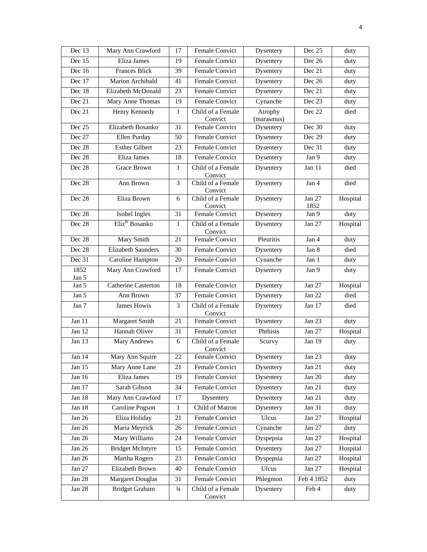| Dec 13         | Mary Ann Crawford          | 17            | <b>Female Convict</b>        | Dysentery             | Dec 25         | duty     |
|----------------|----------------------------|---------------|------------------------------|-----------------------|----------------|----------|
| Dec 15         | Eliza James                | 19            | Female Convict               | Dysentery             | Dec 26         | duty     |
| Dec 16         | <b>Frances Blick</b>       | 39            | Female Convict               | Dysentery             | Dec 21         | duty     |
| Dec 17         | Marion Archibald           | 41            | Female Convict               | Dysentery             | Dec 26         | duty     |
| Dec 18         | Elizabeth McDonald         | 23            | Female Convict               | Dysentery             | Dec 21         | duty     |
| Dec 21         | Mary Anne Thomas           | 19            | Female Convict               | Cynanche              | Dec 23         | duty     |
| Dec 21         | Henry Kennedy              | $\mathbf{1}$  | Child of a Female<br>Convict | Atrophy<br>(marasmus) | Dec 22         | died     |
| Dec 25         | Elizabeth Bosanko          | 31            | Female Convict               | Dysentery             | Dec 30         | duty     |
| Dec 27         | <b>Ellen Purday</b>        | 50            | Female Convict               | Dysentery             | Dec 29         | duty     |
| Dec 28         | <b>Esther Gilbert</b>      | 23            | Female Convict               | Dysentery             | Dec 31         | duty     |
| Dec 28         | Eliza James                | 18            | Female Convict               | Dysentery             | Jan 9          | duty     |
| Dec 28         | Grace Brown                | 1             | Child of a Female<br>Convict | Dysentery             | Jan 11         | died     |
| Dec 28         | Ann Brown                  | 3             | Child of a Female<br>Convict | Dysentery             | Jan 4          | died     |
| Dec 28         | Eliza Brown                | 6             | Child of a Female<br>Convict | Dysentery             | Jan 27<br>1852 | Hospital |
| Dec 28         | Isobel Ingles              | 31            | <b>Female Convict</b>        | Dysentery             | Jan 9          | duty     |
| Dec 28         | Eliz <sup>th</sup> Bosanko | $\mathbf{1}$  | Child of a Female<br>Convict | Dysentery             | Jan 27         | Hospital |
| Dec 28         | Mary Smith                 | 21            | <b>Female Convict</b>        | Pleuritis             | Jan 4          | duty     |
| Dec 28         | <b>Elizabeth Saunders</b>  | 30            | Female Convict               | Dysentery             | Jan 8          | died     |
| Dec 31         | Caroline Hampton           | 20            | Female Convict               | Cynanche              | Jan 1          | duty     |
| 1852           | Mary Ann Crawford          | 17            | Female Convict               | Dysentery             | Jan 9          | duty     |
| Jan 5<br>Jan 5 | <b>Catherine Casterton</b> | 18            | Female Convict               | Dysentery             | <b>Jan 27</b>  | Hospital |
| Jan 5          | Ann Brown                  | 37            | Female Convict               | Dysentery             | Jan 22         | died     |
| Jan 7          | James Howis                | 3             | Child of a Female            | Dysentery             | Jan 17         | died     |
|                |                            |               | Convict                      |                       |                |          |
| Jan $11$       | Margaret Smith             | 21            | Female Convict               | Dysentery             | <b>Jan 23</b>  | duty     |
| Jan 12         | Hannah Oliver              | 31            | Female Convict               | Phthisis              | Jan 27         | Hospital |
| Jan 13         | <b>Mary Andrews</b>        | 6             | Child of a Female<br>Convict | Scurvy                | Jan 19         | duty     |
| Jan $14$       | Mary Ann Squire            | 22            | Female Convict               | Dysentery             | Jan 23         | duty     |
| Jan $15$       | Mary Anne Lane             | 21            | Female Convict               | Dysentery             | Jan 21         | duty     |
| Jan 16         | Eliza James                | 19            | Female Convict               | Dysentery             | Jan $20$       | duty     |
| Jan 17         | Sarah Gibson               | 34            | Female Convict               | Dysentery             | Jan 21         | duty     |
| Jan 18         | Mary Ann Crawford          | 17            | Dysentery                    | Dysentery             | Jan $21$       | duty     |
| Jan 18         | Caroline Pogson            | $\mathbf{1}$  | Child of Matron              | Dysentery             | Jan 31         | duty     |
| Jan 26         | Eliza Holiday              | 21            | Female Convict               | Ulcus                 | Jan 27         | Hospital |
| Jan 26         | Maria Meyrick              | 26            | Female Convict               | Cynanche              | Jan 27         | duty     |
| Jan 26         | Mary Williams              | 24            | Female Convict               | Dyspepsia             | Jan 27         | Hospital |
| Jan 26         | <b>Bridget McIntyre</b>    | 15            | Female Convict               | Dysentery             | Jan 27         | Hospital |
| Jan 26         | Martha Rogers              | 23            | Female Convict               | Dyspepsia             | Jan 27         | Hospital |
| Jan 27         | Elizabeth Brown            | 40            | Female Convict               | Ulcus                 | Jan 27         | Hospital |
| <b>Jan 28</b>  | <b>Margaret Douglas</b>    | 31            | Female Convict               | Phlegmon              | Feb 4 1852     | duty     |
| <b>Jan 28</b>  | <b>Bridget Graham</b>      | $\frac{3}{4}$ | Child of a Female<br>Convict | Dysentery             | Feb 4          | duty     |